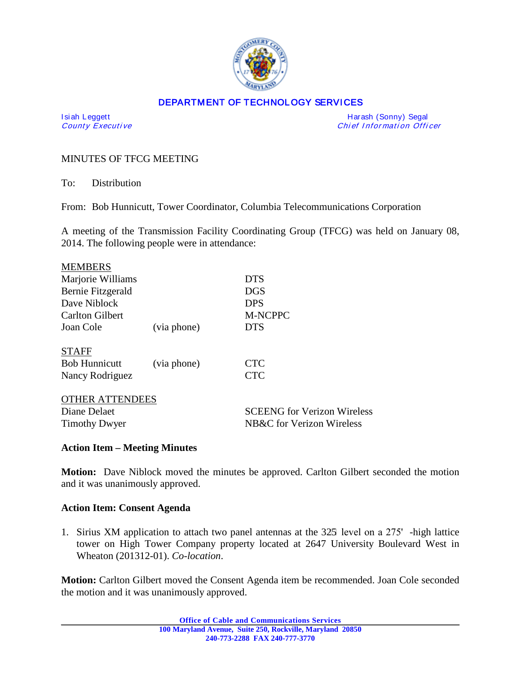

### DEPARTMENT OF TECHNOLOGY SERVICES

I si ah Leggett Harash (Sonny) Segal Chief Information Officer

## MINUTES OF TFCG MEETING

To: Distribution

From: Bob Hunnicutt, Tower Coordinator, Columbia Telecommunications Corporation

A meeting of the Transmission Facility Coordinating Group (TFCG) was held on January 08, 2014. The following people were in attendance:

| <b>MEMBERS</b>                                         |             |                                        |                        |             |                |
|--------------------------------------------------------|-------------|----------------------------------------|------------------------|-------------|----------------|
| Marjorie Williams<br>Bernie Fitzgerald<br>Dave Niblock |             | <b>DTS</b><br><b>DGS</b><br><b>DPS</b> |                        |             |                |
|                                                        |             |                                        | <b>Carlton Gilbert</b> |             | <b>M-NCPPC</b> |
|                                                        |             |                                        | Joan Cole              | (via phone) | <b>DTS</b>     |
| <b>STAFF</b>                                           |             |                                        |                        |             |                |
| <b>Bob Hunnicutt</b>                                   | (via phone) | <b>CTC</b>                             |                        |             |                |
| Nancy Rodriguez                                        |             | <b>CTC</b>                             |                        |             |                |
| <b>OTHER ATTENDEES</b>                                 |             |                                        |                        |             |                |
| Diane Delaet                                           |             | <b>SCEENG</b> for Verizon Wireless     |                        |             |                |
| <b>Timothy Dwyer</b>                                   |             | NB&C for Verizon Wireless              |                        |             |                |
|                                                        |             |                                        |                        |             |                |

#### **Action Item – Meeting Minutes**

**Motion:** Dave Niblock moved the minutes be approved. Carlton Gilbert seconded the motion and it was unanimously approved.

### **Action Item: Consent Agenda**

1. Sirius XM application to attach two panel antennas at the 325 level on a 275' -high lattice tower on High Tower Company property located at 2647 University Boulevard West in Wheaton (201312-01). *Co-location*.

**Motion:** Carlton Gilbert moved the Consent Agenda item be recommended. Joan Cole seconded the motion and it was unanimously approved.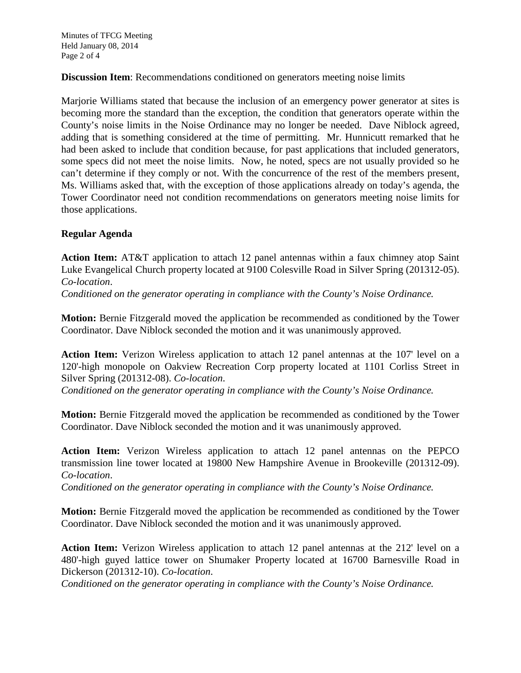Minutes of TFCG Meeting Held January 08, 2014 Page 2 of 4

**Discussion Item:** Recommendations conditioned on generators meeting noise limits

Marjorie Williams stated that because the inclusion of an emergency power generator at sites is becoming more the standard than the exception, the condition that generators operate within the County's noise limits in the Noise Ordinance may no longer be needed. Dave Niblock agreed, adding that is something considered at the time of permitting. Mr. Hunnicutt remarked that he had been asked to include that condition because, for past applications that included generators, some specs did not meet the noise limits. Now, he noted, specs are not usually provided so he can't determine if they comply or not. With the concurrence of the rest of the members present, Ms. Williams asked that, with the exception of those applications already on today's agenda, the Tower Coordinator need not condition recommendations on generators meeting noise limits for those applications.

# **Regular Agenda**

**Action Item:** AT&T application to attach 12 panel antennas within a faux chimney atop Saint Luke Evangelical Church property located at 9100 Colesville Road in Silver Spring (201312-05). *Co-location*.

*Conditioned on the generator operating in compliance with the County's Noise Ordinance.*

**Motion:** Bernie Fitzgerald moved the application be recommended as conditioned by the Tower Coordinator. Dave Niblock seconded the motion and it was unanimously approved.

**Action Item:** Verizon Wireless application to attach 12 panel antennas at the 107' level on a 120'-high monopole on Oakview Recreation Corp property located at 1101 Corliss Street in Silver Spring (201312-08). *Co-location*.

*Conditioned on the generator operating in compliance with the County's Noise Ordinance.*

**Motion:** Bernie Fitzgerald moved the application be recommended as conditioned by the Tower Coordinator. Dave Niblock seconded the motion and it was unanimously approved.

**Action Item:** Verizon Wireless application to attach 12 panel antennas on the PEPCO transmission line tower located at 19800 New Hampshire Avenue in Brookeville (201312-09). *Co-location*.

*Conditioned on the generator operating in compliance with the County's Noise Ordinance.*

**Motion:** Bernie Fitzgerald moved the application be recommended as conditioned by the Tower Coordinator. Dave Niblock seconded the motion and it was unanimously approved.

**Action Item:** Verizon Wireless application to attach 12 panel antennas at the 212' level on a 480'-high guyed lattice tower on Shumaker Property located at 16700 Barnesville Road in Dickerson (201312-10). *Co-location*.

*Conditioned on the generator operating in compliance with the County's Noise Ordinance.*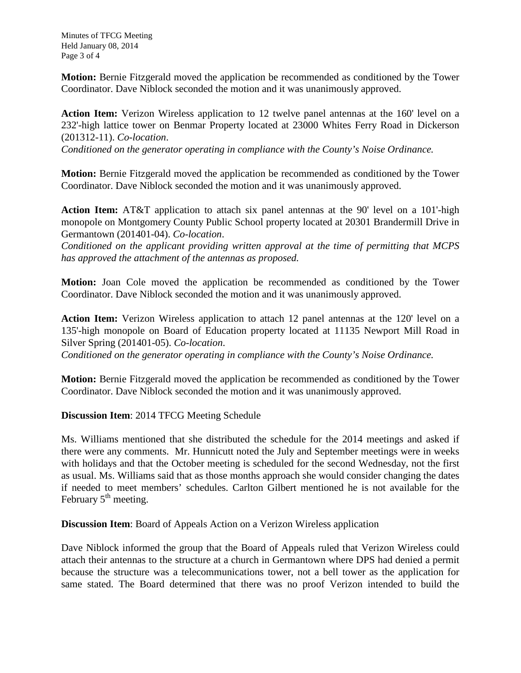Minutes of TFCG Meeting Held January 08, 2014 Page 3 of 4

**Motion:** Bernie Fitzgerald moved the application be recommended as conditioned by the Tower Coordinator. Dave Niblock seconded the motion and it was unanimously approved.

**Action Item:** Verizon Wireless application to 12 twelve panel antennas at the 160' level on a 232'-high lattice tower on Benmar Property located at 23000 Whites Ferry Road in Dickerson (201312-11). *Co-location*.

*Conditioned on the generator operating in compliance with the County's Noise Ordinance.*

**Motion:** Bernie Fitzgerald moved the application be recommended as conditioned by the Tower Coordinator. Dave Niblock seconded the motion and it was unanimously approved.

**Action Item:** AT&T application to attach six panel antennas at the 90' level on a 101'-high monopole on Montgomery County Public School property located at 20301 Brandermill Drive in Germantown (201401-04). *Co-location*.

*Conditioned on the applicant providing written approval at the time of permitting that MCPS has approved the attachment of the antennas as proposed.*

**Motion:** Joan Cole moved the application be recommended as conditioned by the Tower Coordinator. Dave Niblock seconded the motion and it was unanimously approved.

**Action Item:** Verizon Wireless application to attach 12 panel antennas at the 120' level on a 135'-high monopole on Board of Education property located at 11135 Newport Mill Road in Silver Spring (201401-05). *Co-location*.

*Conditioned on the generator operating in compliance with the County's Noise Ordinance.*

**Motion:** Bernie Fitzgerald moved the application be recommended as conditioned by the Tower Coordinator. Dave Niblock seconded the motion and it was unanimously approved.

**Discussion Item**: 2014 TFCG Meeting Schedule

Ms. Williams mentioned that she distributed the schedule for the 2014 meetings and asked if there were any comments. Mr. Hunnicutt noted the July and September meetings were in weeks with holidays and that the October meeting is scheduled for the second Wednesday, not the first as usual. Ms. Williams said that as those months approach she would consider changing the dates if needed to meet members' schedules. Carlton Gilbert mentioned he is not available for the February  $5<sup>th</sup>$  meeting.

**Discussion Item**: Board of Appeals Action on a Verizon Wireless application

Dave Niblock informed the group that the Board of Appeals ruled that Verizon Wireless could attach their antennas to the structure at a church in Germantown where DPS had denied a permit because the structure was a telecommunications tower, not a bell tower as the application for same stated. The Board determined that there was no proof Verizon intended to build the